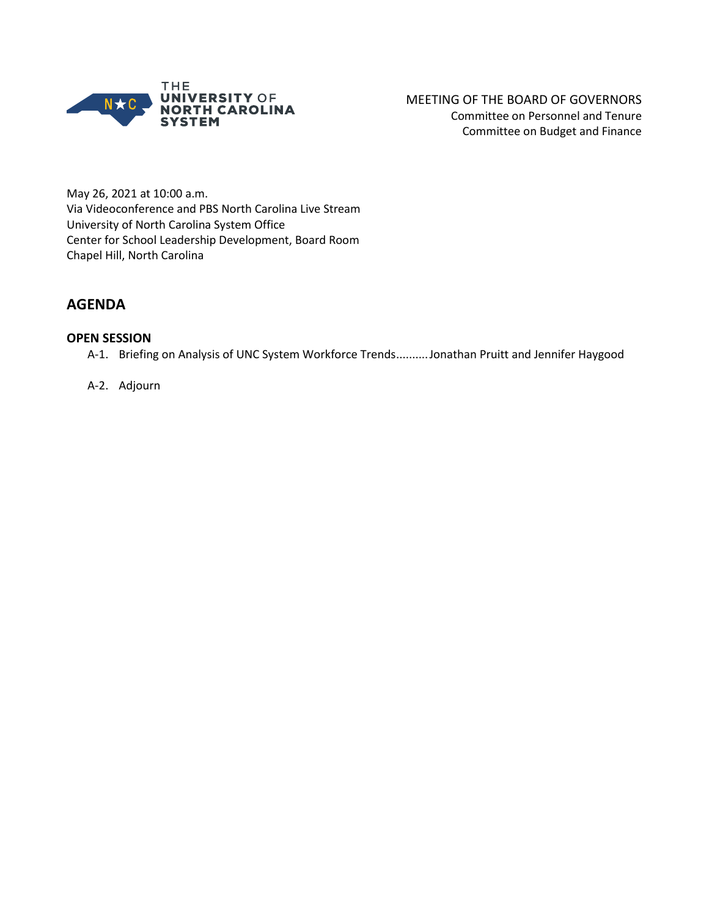

MEETING OF THE BOARD OF GOVERNORS Committee on Personnel and Tenure Committee on Budget and Finance

May 26, 2021 at 10:00 a.m. Via Videoconference and PBS North Carolina Live Stream University of North Carolina System Office Center for School Leadership Development, Board Room Chapel Hill, North Carolina

## **AGENDA**

### **OPEN SESSION**

A-1. Briefing on Analysis of UNC System Workforce Trends..........Jonathan Pruitt and Jennifer Haygood

#### A-2. Adjourn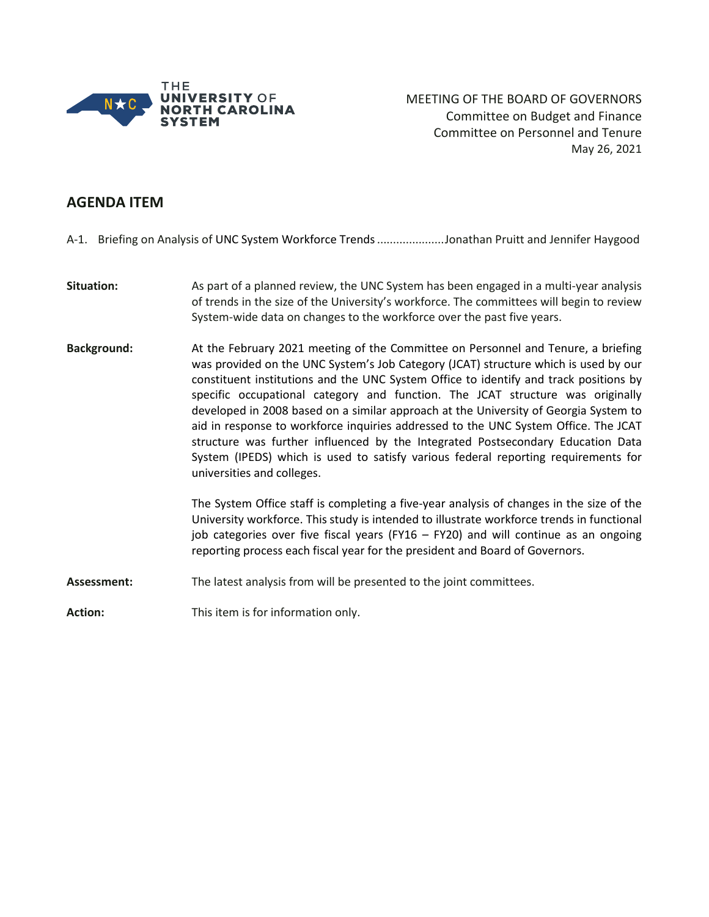

MEETING OF THE BOARD OF GOVERNORS Committee on Budget and Finance Committee on Personnel and Tenure May 26, 2021

## **AGENDA ITEM**

A-1. Briefing on Analysis of UNC System Workforce Trends.....................Jonathan Pruitt and Jennifer Haygood

- **Situation:** As part of a planned review, the UNC System has been engaged in a multi-year analysis of trends in the size of the University's workforce. The committees will begin to review System-wide data on changes to the workforce over the past five years.
- **Background:** At the February 2021 meeting of the Committee on Personnel and Tenure, a briefing was provided on the UNC System's Job Category (JCAT) structure which is used by our constituent institutions and the UNC System Office to identify and track positions by specific occupational category and function. The JCAT structure was originally developed in 2008 based on a similar approach at the University of Georgia System to aid in response to workforce inquiries addressed to the UNC System Office. The JCAT structure was further influenced by the Integrated Postsecondary Education Data System (IPEDS) which is used to satisfy various federal reporting requirements for universities and colleges.

The System Office staff is completing a five-year analysis of changes in the size of the University workforce. This study is intended to illustrate workforce trends in functional job categories over five fiscal years (FY16 – FY20) and will continue as an ongoing reporting process each fiscal year for the president and Board of Governors.

**Assessment:** The latest analysis from will be presented to the joint committees.

**Action:** This item is for information only.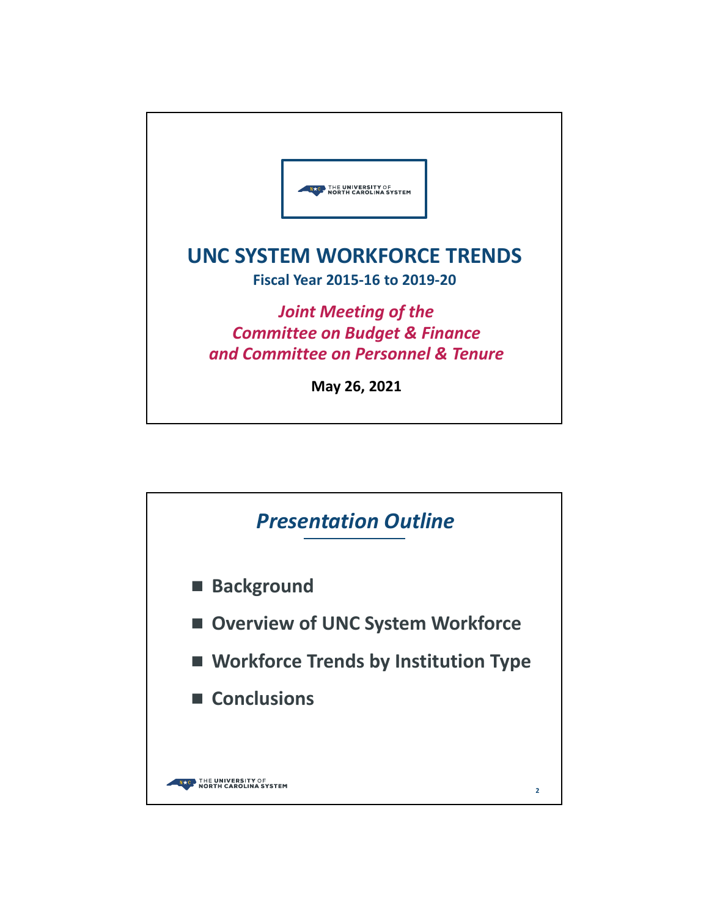

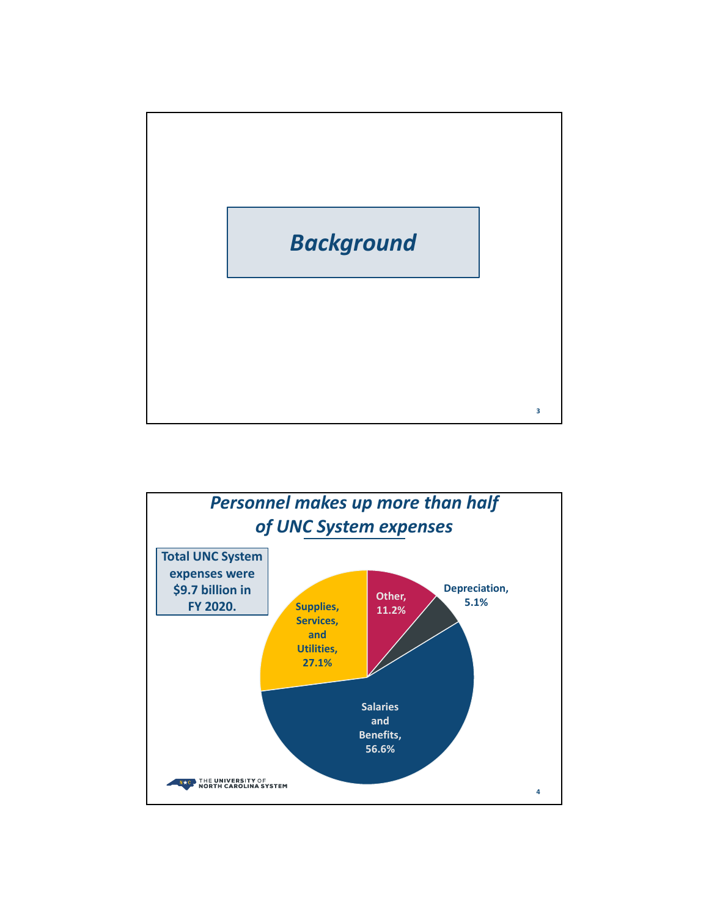

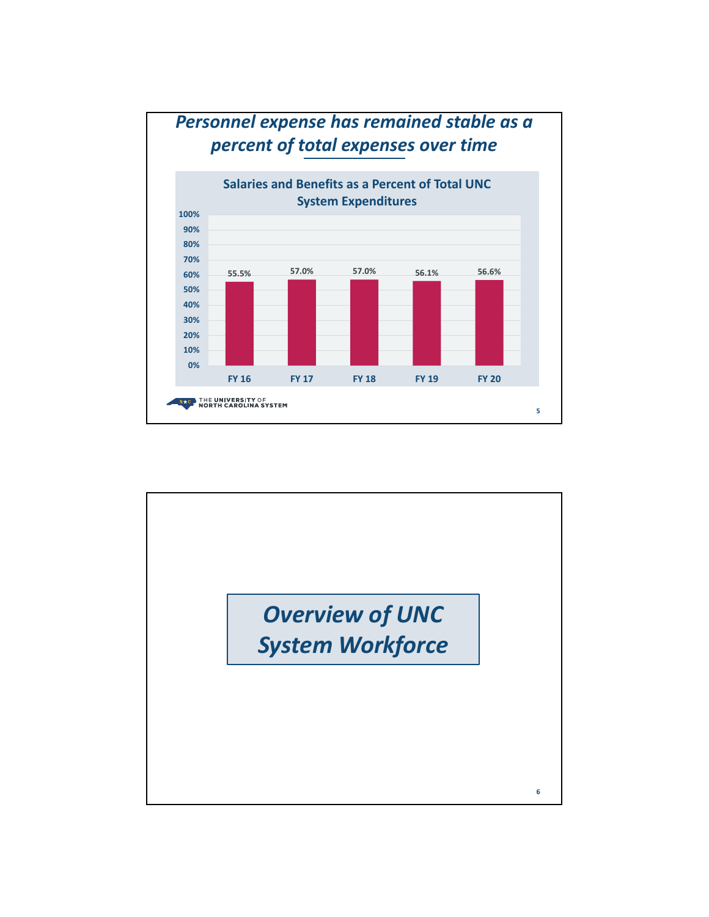

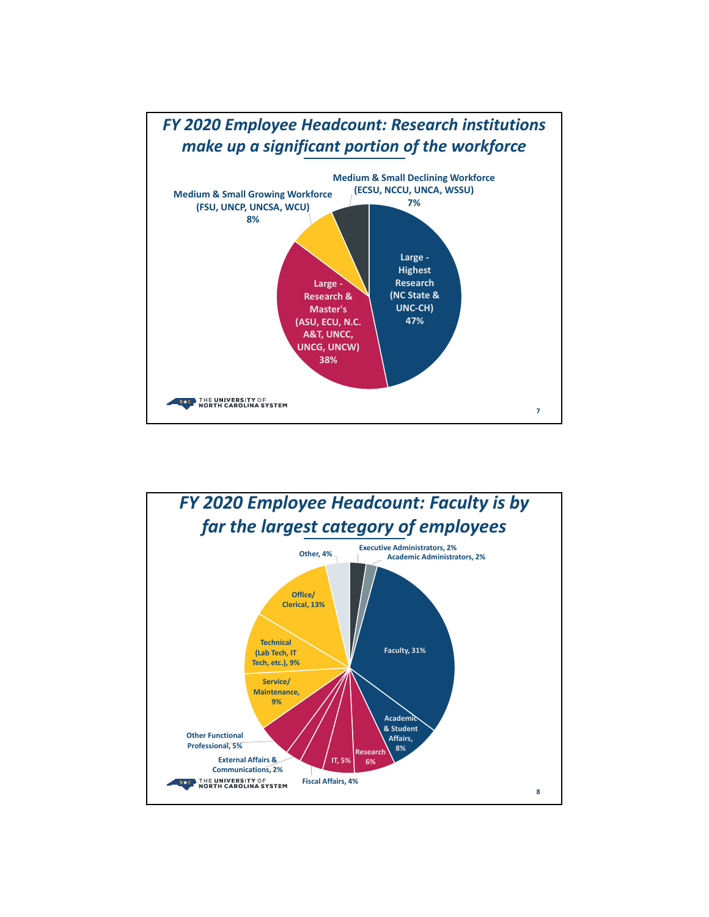

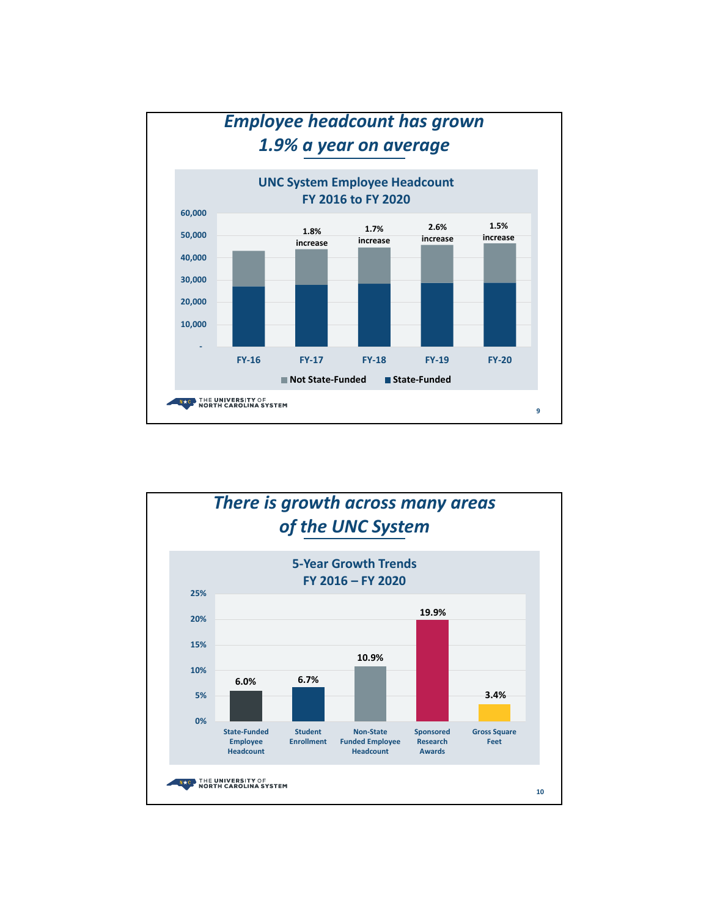

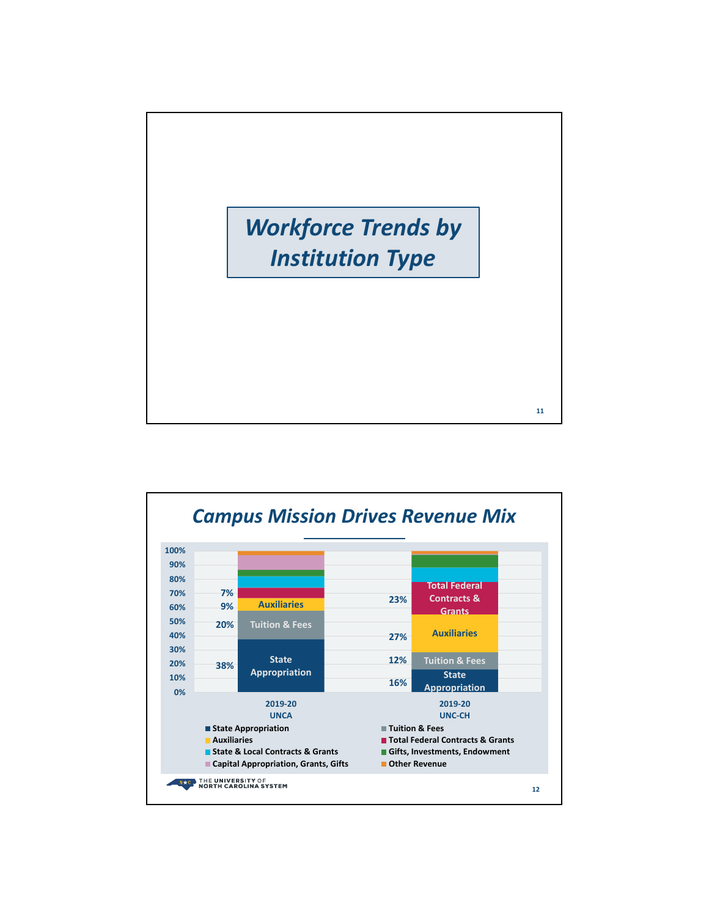

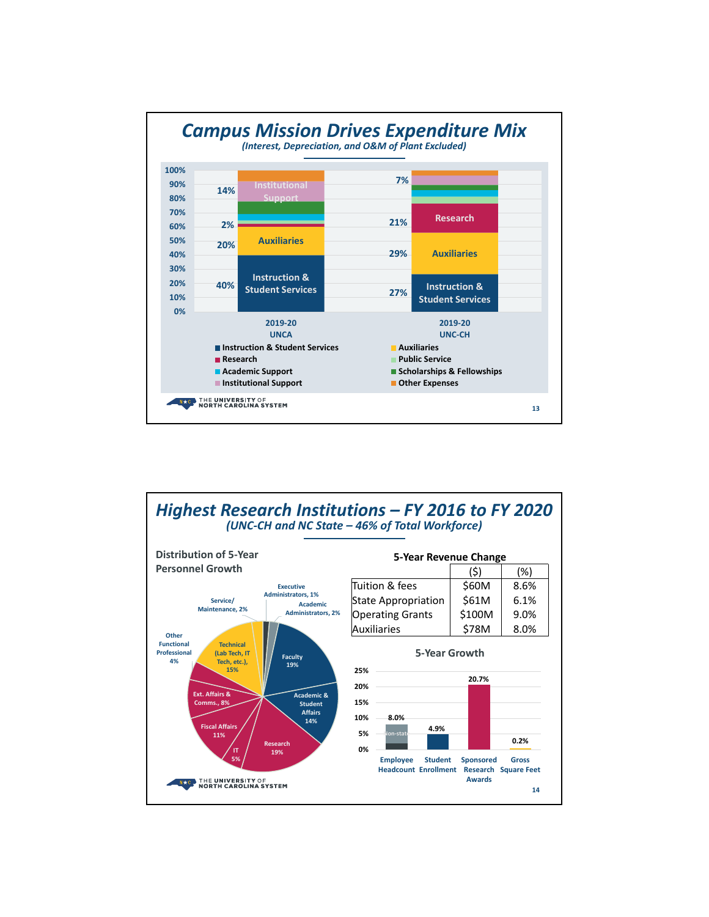

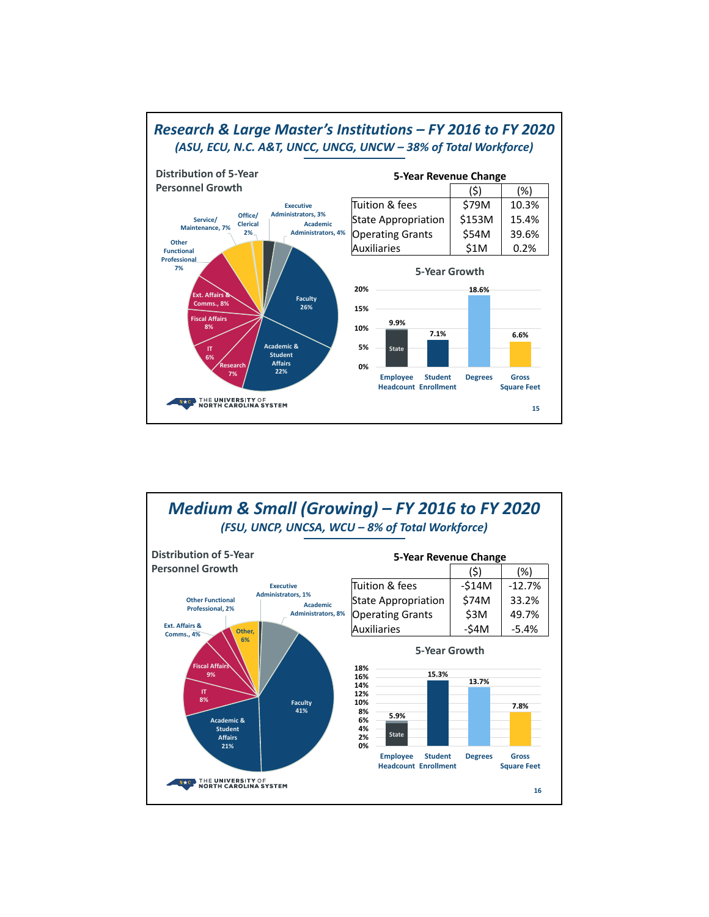

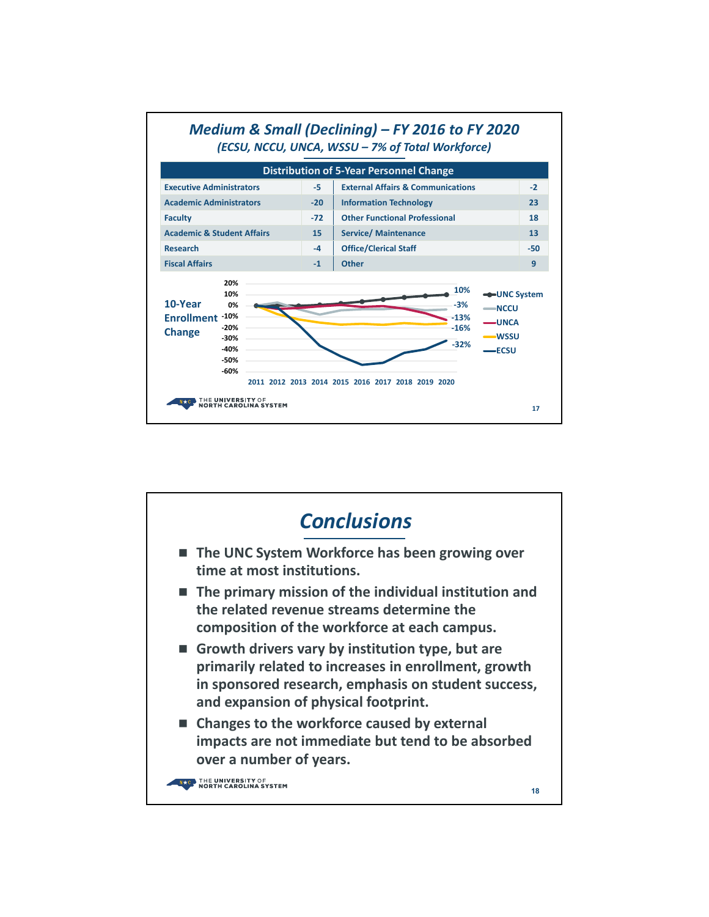

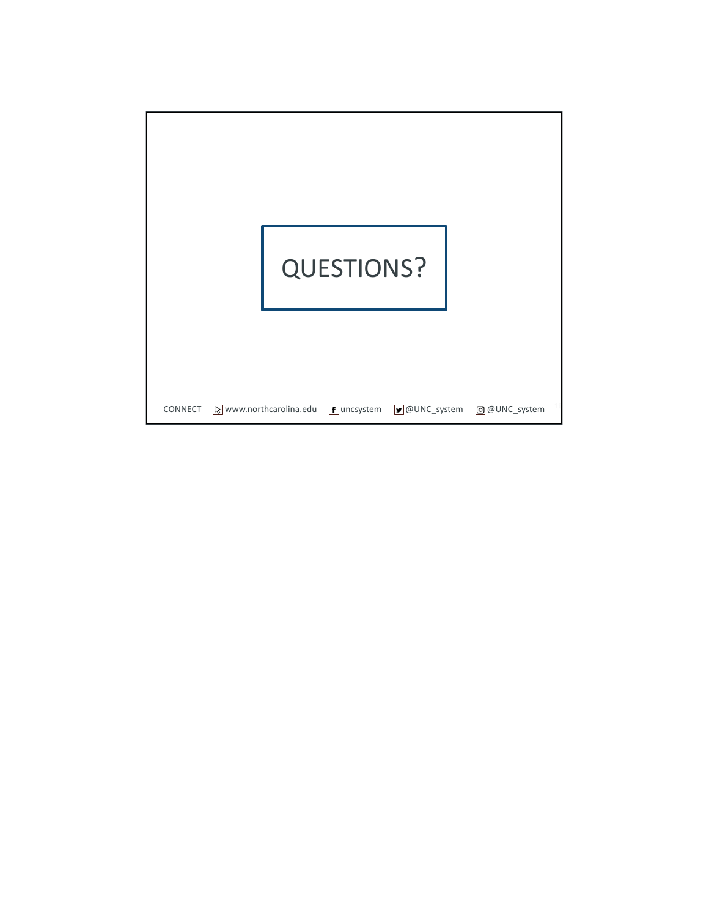